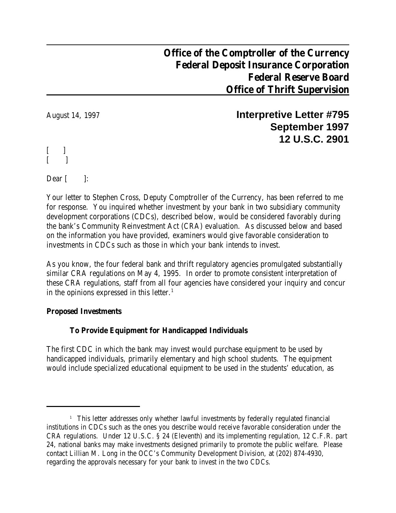# **Office of the Comptroller of the Currency Federal Deposit Insurance Corporation Federal Reserve Board Office of Thrift Supervision**

August 14, 1997 **Interpretive Letter #795 September 1997 12 U.S.C. 2901**

[ ]  $[$  ]

Dear  $\lceil$   $\rceil$  :

Your letter to Stephen Cross, Deputy Comptroller of the Currency, has been referred to me for response. You inquired whether investment by your bank in two subsidiary community development corporations (CDCs), described below, would be considered favorably during the bank's Community Reinvestment Act (CRA) evaluation. As discussed below and based on the information you have provided, examiners would give favorable consideration to investments in CDCs such as those in which your bank intends to invest.

As you know, the four federal bank and thrift regulatory agencies promulgated substantially similar CRA regulations on May 4, 1995. In order to promote consistent interpretation of these CRA regulations, staff from all four agencies have considered your inquiry and concur in the opinions expressed in this letter.<sup>1</sup>

# **Proposed Investments**

# **To Provide Equipment for Handicapped Individuals**

The first CDC in which the bank may invest would purchase equipment to be used by handicapped individuals, primarily elementary and high school students. The equipment would include specialized educational equipment to be used in the students' education, as

<sup>&</sup>lt;sup>1</sup> This letter addresses only whether lawful investments by federally regulated financial institutions in CDCs such as the ones you describe would receive favorable consideration under the CRA regulations. Under 12 U.S.C. § 24 (Eleventh) and its implementing regulation, 12 C.F.R. part 24, national banks may make investments designed primarily to promote the public welfare. Please contact Lillian M. Long in the OCC's Community Development Division, at (202) 874-4930, regarding the approvals necessary for your bank to invest in the two CDCs.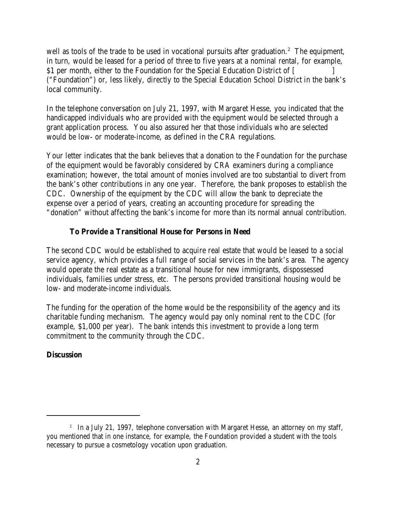well as tools of the trade to be used in vocational pursuits after graduation.<sup>2</sup> The equipment, in turn, would be leased for a period of three to five years at a nominal rental, for example, \$1 per month, either to the Foundation for the Special Education District of [ ("Foundation") or, less likely, directly to the Special Education School District in the bank's local community.

In the telephone conversation on July 21, 1997, with Margaret Hesse, you indicated that the handicapped individuals who are provided with the equipment would be selected through a grant application process. You also assured her that those individuals who are selected would be low- or moderate-income, as defined in the CRA regulations.

Your letter indicates that the bank believes that a donation to the Foundation for the purchase of the equipment would be favorably considered by CRA examiners during a compliance examination; however, the total amount of monies involved are too substantial to divert from the bank's other contributions in any one year. Therefore, the bank proposes to establish the CDC. Ownership of the equipment by the CDC will allow the bank to depreciate the expense over a period of years, creating an accounting procedure for spreading the "donation" without affecting the bank's income for more than its normal annual contribution.

### **To Provide a Transitional House for Persons in Need**

The second CDC would be established to acquire real estate that would be leased to a social service agency, which provides a full range of social services in the bank's area. The agency would operate the real estate as a transitional house for new immigrants, dispossessed individuals, families under stress, etc. The persons provided transitional housing would be low- and moderate-income individuals.

The funding for the operation of the home would be the responsibility of the agency and its charitable funding mechanism. The agency would pay only nominal rent to the CDC (for example, \$1,000 per year). The bank intends this investment to provide a long term commitment to the community through the CDC.

## **Discussion**

 $2$  In a July 21, 1997, telephone conversation with Margaret Hesse, an attorney on my staff, you mentioned that in one instance, for example, the Foundation provided a student with the tools necessary to pursue a cosmetology vocation upon graduation.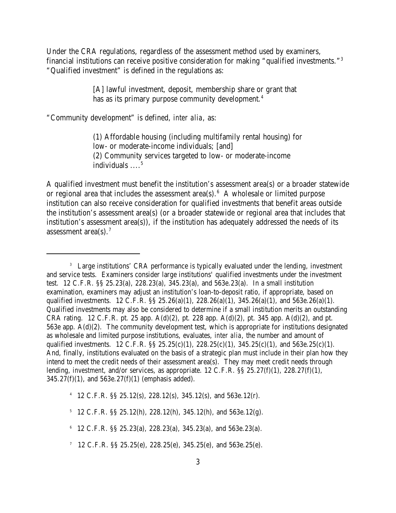Under the CRA regulations, regardless of the assessment method used by examiners, financial institutions can receive positive consideration for making "qualified investments."<sup>3</sup> "Qualified investment" is defined in the regulations as:

> [A] lawful investment, deposit, membership share or grant that has as its primary purpose community development.<sup>4</sup>

"Community development" is defined, *inter alia*, as:

(1) Affordable housing (including multifamily rental housing) for low- or moderate-income individuals; [and] (2) Community services targeted to low- or moderate-income individuals  $\ldots$ <sup>5</sup>

A qualified investment must benefit the institution's assessment area(s) or a broader statewide or regional area that includes the assessment area(s).  $6 \text{ A whole}$  wholesale or limited purpose institution can also receive consideration for qualified investments that benefit areas outside the institution's assessment area(s) (or a broader statewide or regional area that includes that institution's assessment area(s)), if the institution has adequately addressed the needs of its assessment area(s). $7$ 

<sup>4</sup> 12 C.F.R. §§ 25.12(s), 228.12(s), 345.12(s), and 563e.12(r).

 $-5$  12 C.F.R. §§ 25.12(h), 228.12(h), 345.12(h), and 563e.12(g).

 $6$  12 C.F.R. §§ 25.23(a), 228.23(a), 345.23(a), and 563e.23(a).

<sup>&</sup>lt;sup>3</sup> Large institutions' CRA performance is typically evaluated under the lending, investment and service tests. Examiners consider large institutions' qualified investments under the investment test. 12 C.F.R. §§ 25.23(a), 228.23(a), 345.23(a), and 563e.23(a). In a small institution examination, examiners may adjust an institution's loan-to-deposit ratio, if appropriate, based on qualified investments. 12 C.F.R.  $\S$  25.26(a)(1), 228.26(a)(1), 345.26(a)(1), and 563e.26(a)(1). Qualified investments may also be considered to determine if a small institution merits an outstanding CRA rating. 12 C.F.R. pt. 25 app.  $A(d)(2)$ , pt. 228 app.  $A(d)(2)$ , pt. 345 app.  $A(d)(2)$ , and pt. 563e app. A(d)(2). The community development test, which is appropriate for institutions designated as wholesale and limited purpose institutions, evaluates, *inter alia*, the number and amount of qualified investments. 12 C.F.R. §§ 25.25(c)(1), 228.25(c)(1), 345.25(c)(1), and 563e.25(c)(1). And, finally, institutions evaluated on the basis of a strategic plan must include in their plan how they intend to meet the credit needs of their assessment area(s). They may meet credit needs through lending, *investment*, and/or services, as appropriate. 12 C.F.R. §§ 25.27(f)(1), 228.27(f)(1),  $345.27(f)(1)$ , and  $563e.27(f)(1)$  (emphasis added).

<sup>&</sup>lt;sup>7</sup> 12 C.F.R. §§ 25.25(e), 228.25(e), 345.25(e), and 563e.25(e).